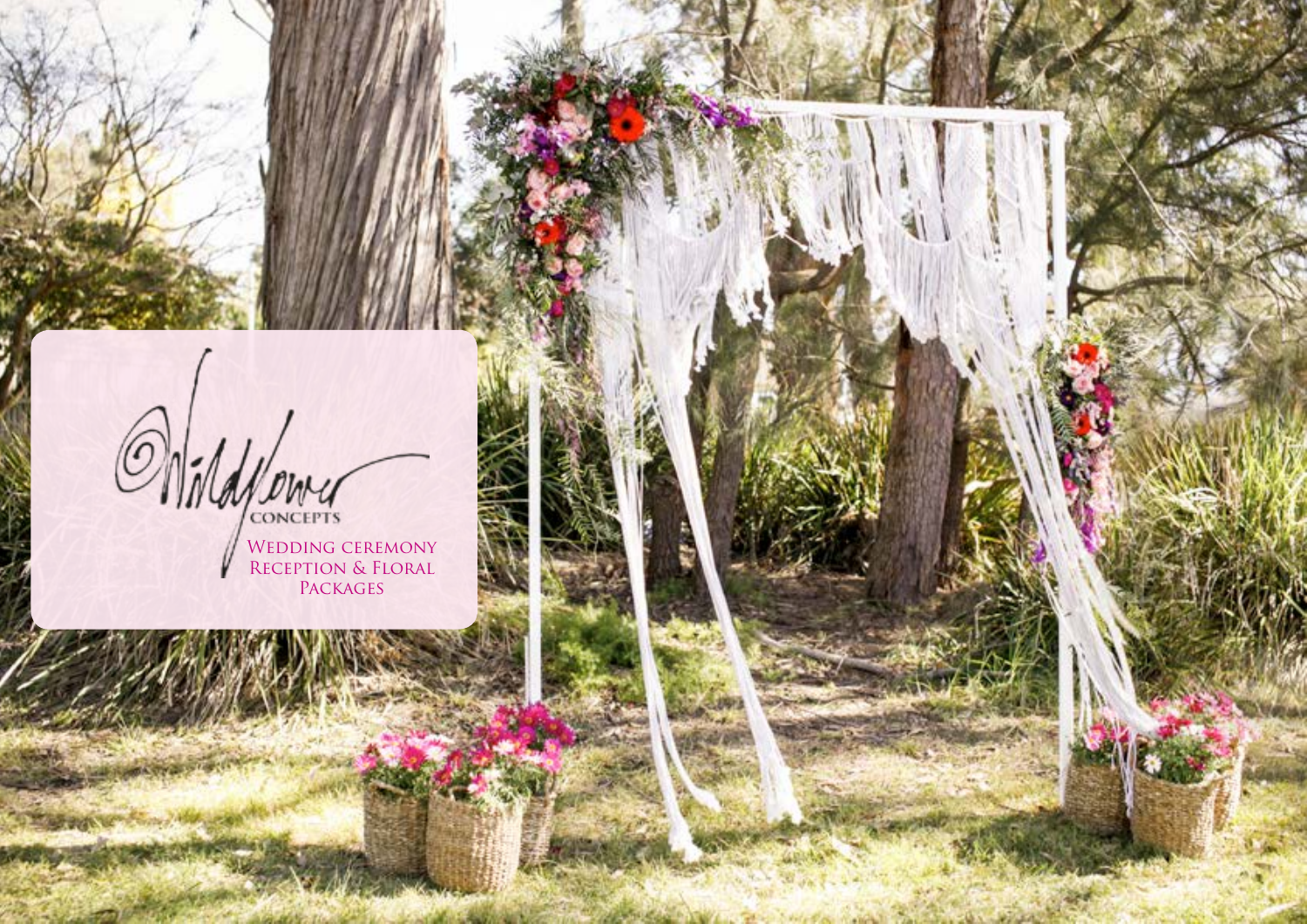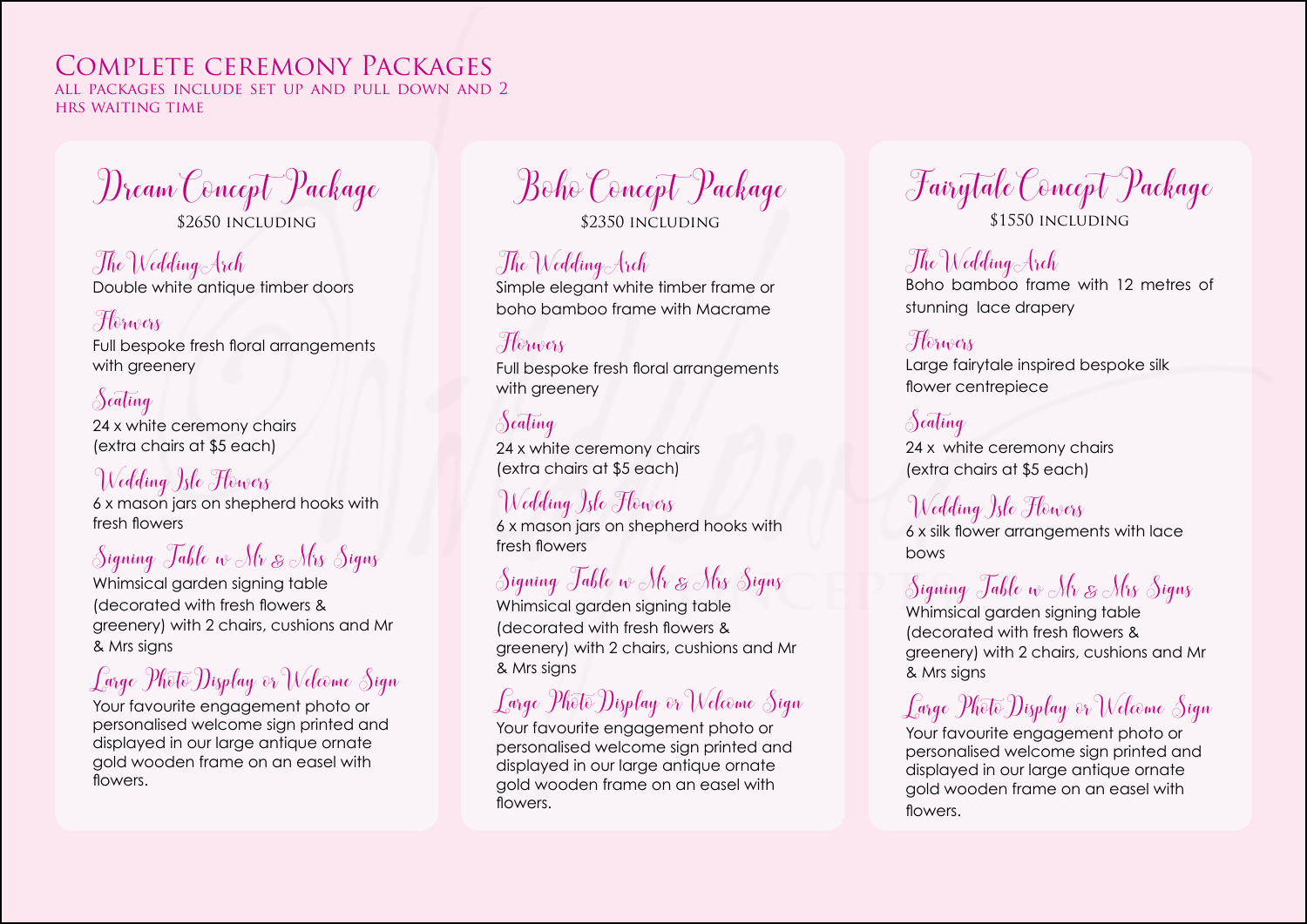## Complete ceremony Packages

all packages include set up and pull down and 2 hrs waiting time

DreamConcept Package

\$2650 INCLUDING

 $\mathcal{C}$ the Wedding $\mathcal{A}$ rch Double white antique timber doors

#### Florwers

 $\overline{\phantom{a}}$ 

Full bespoke fresh floral arrangements with greenery

### Seating

24 x white ceremony chairs (extra chairs at \$5 each)

### Wedding Isle Flowers

6 x mason jars on shepherd hooks with fresh flowers

# Signing Table w Mr & Mrs Signs

Whimsical garden signing table (decorated with fresh flowers & greenery) with 2 chairs, cushions and Mr & Mrs signs

# Large PhotoDisplay orWelcome Sign

Your favourite engagement photo or personalised welcome sign printed and displayed in our large antique ornate gold wooden frame on an easel with flowers.

BohoConcept Package

\$2350 including

# $\mathcal{T}$ heWeddingArch

Simple elegant white timber frame or boho bamboo frame with Macrame

#### Florwers

Full bespoke fresh floral arrangements with greenery

### Seating

24 x white ceremony chairs (extra chairs at \$5 each)

## Wedding Isle Flowers

6 x mason jars on shepherd hooks with fresh flowers

## Signing Table w Mr & Mrs Signs

Whimsical garden signing table (decorated with fresh flowers & greenery) with 2 chairs, cushions and Mr & Mrs signs

# Large PhotoDisplay orWelcome Sign

Your favourite engagement photo or personalised welcome sign printed and displayed in our large antique ornate gold wooden frame on an easel with flowers.

FairytaleConcept Package \$1550 INCLUDING

#### $\mathcal{J}$ heWedding $\mathcal{A}$ rch Boho bamboo frame with 12 metres of stunning lace drapery

#### Florwers Large fairytale inspired bespoke silk flower centrepiece

### Seating

24 x white ceremony chairs (extra chairs at \$5 each)

# Wedding Isle Flowers

6 x silk flower arrangements with lace bows

## Signing Table w Mr & Mrs Signs

Whimsical garden signing table (decorated with fresh flowers & greenery) with 2 chairs, cushions and Mr & Mrs signs

# Large PhotoDisplay orWelcome Sign

Your favourite engagement photo or personalised welcome sign printed and displayed in our large antique ornate gold wooden frame on an easel with flowers.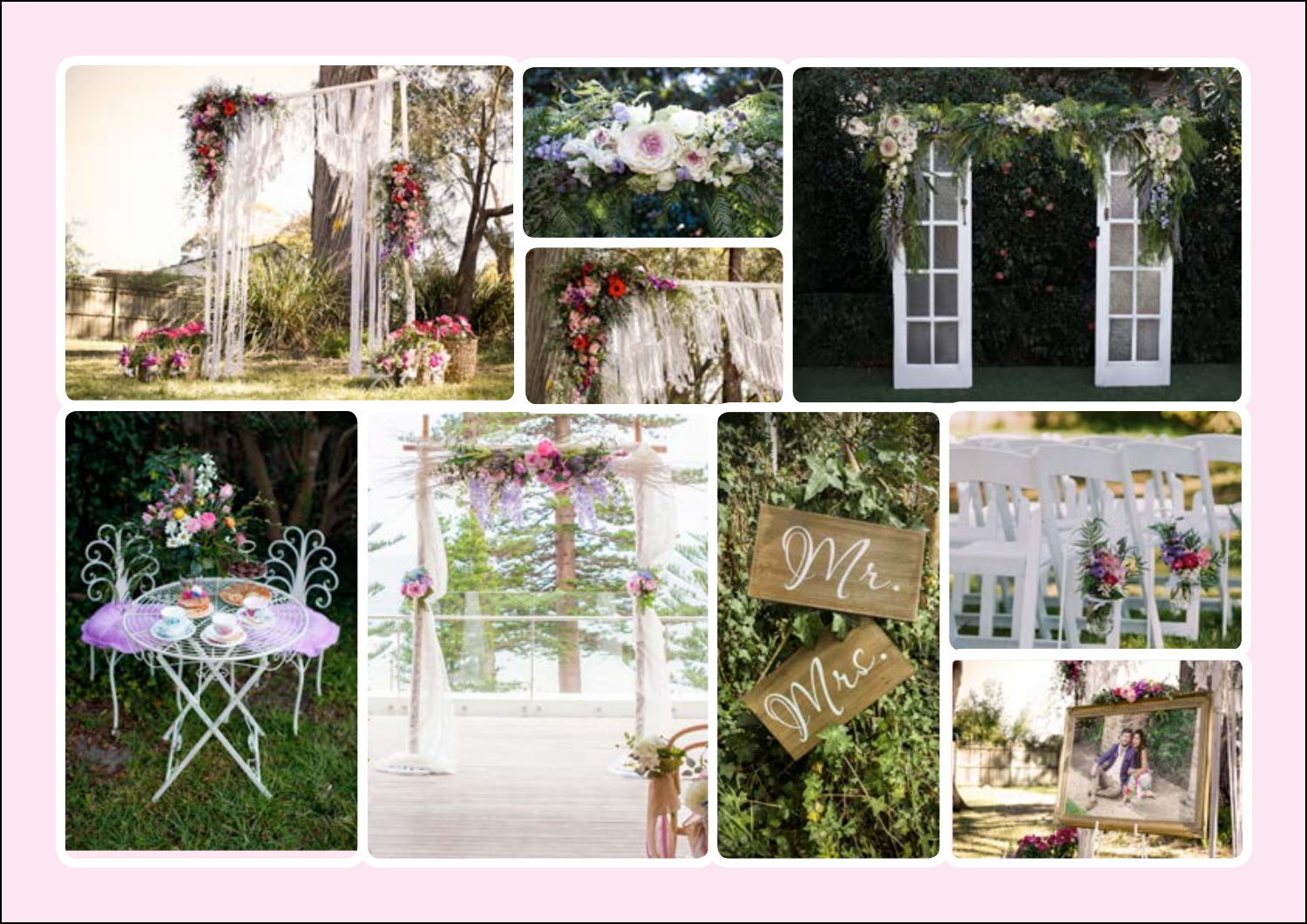